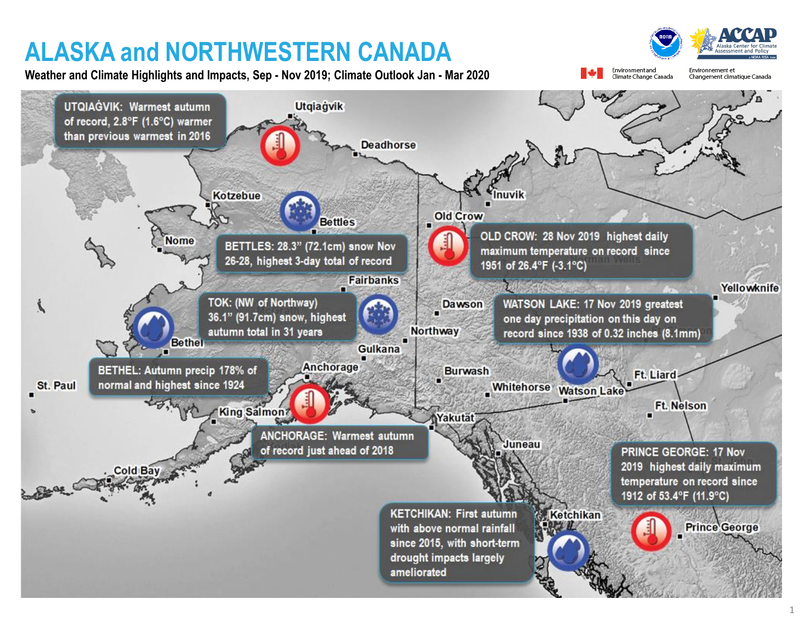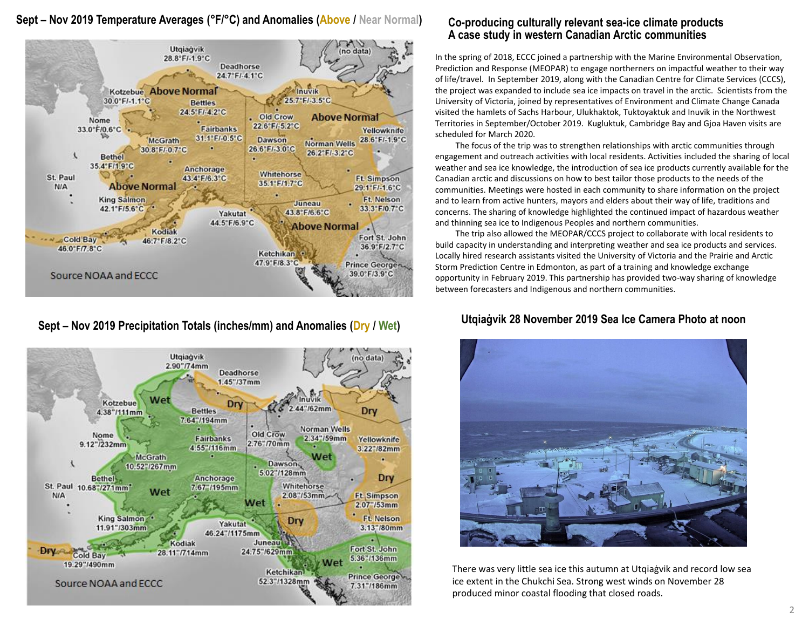**Sept – Nov 2019 Temperature Averages (°F/°C) and Anomalies (Above / Near Normal)**



## **Sept – Nov 2019 Precipitation Totals (inches/mm) and Anomalies (Dry / Wet)**



### **Co-producing culturally relevant sea-ice climate products A case study in western Canadian Arctic communities**

In the spring of 2018, ECCC joined a partnership with the Marine Environmental Observation, Prediction and Response (MEOPAR) to engage northerners on impactful weather to their way of life/travel. In September 2019, along with the Canadian Centre for Climate Services (CCCS), the project was expanded to include sea ice impacts on travel in the arctic. Scientists from the University of Victoria, joined by representatives of Environment and Climate Change Canada visited the hamlets of Sachs Harbour, Ulukhaktok, Tuktoyaktuk and Inuvik in the Northwest Territories in September/October 2019. Kugluktuk, Cambridge Bay and Gjoa Haven visits are scheduled for March 2020.

The focus of the trip was to strengthen relationships with arctic communities through engagement and outreach activities with local residents. Activities included the sharing of local weather and sea ice knowledge, the introduction of sea ice products currently available for the Canadian arctic and discussions on how to best tailor those products to the needs of the communities. Meetings were hosted in each community to share information on the project and to learn from active hunters, mayors and elders about their way of life, traditions and concerns. The sharing of knowledge highlighted the continued impact of hazardous weather and thinning sea ice to Indigenous Peoples and northern communities.

The trip also allowed the MEOPAR/CCCS project to collaborate with local residents to build capacity in understanding and interpreting weather and sea ice products and services. Locally hired research assistants visited the University of Victoria and the Prairie and Arctic Storm Prediction Centre in Edmonton, as part of a training and knowledge exchange opportunity in February 2019. This partnership has provided two-way sharing of knowledge between forecasters and Indigenous and northern communities.

## **Utqiaġvik 28 November 2019 Sea Ice Camera Photo at noon**



There was very little sea ice this autumn at Utqiaġvik and record low sea ice extent in the Chukchi Sea. Strong west winds on November 28 produced minor coastal flooding that closed roads.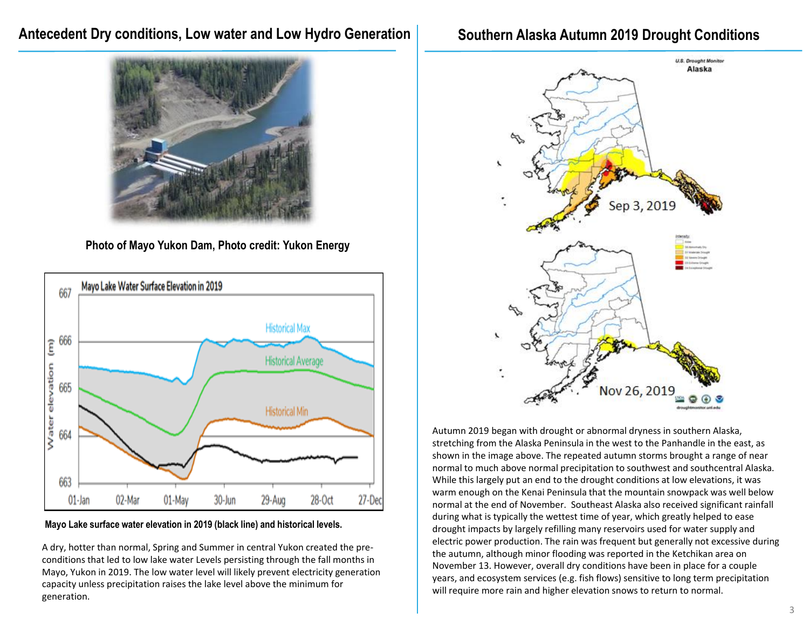# **Antecedent Dry conditions, Low water and Low Hydro Generation**



**Photo of Mayo Yukon Dam, Photo credit: Yukon Energy**



**Mayo Lake surface water elevation in 2019 (black line) and historical levels.**

A dry, hotter than normal, Spring and Summer in central Yukon created the preconditions that led to low lake water Levels persisting through the fall months in Mayo, Yukon in 2019. The low water level will likely prevent electricity generation capacity unless precipitation raises the lake level above the minimum for generation.

# **Southern Alaska Autumn 2019 Drought Conditions**



Autumn 2019 began with drought or abnormal dryness in southern Alaska, stretching from the Alaska Peninsula in the west to the Panhandle in the east, as shown in the image above. The repeated autumn storms brought a range of near normal to much above normal precipitation to southwest and southcentral Alaska. While this largely put an end to the drought conditions at low elevations, it was warm enough on the Kenai Peninsula that the mountain snowpack was well below normal at the end of November. Southeast Alaska also received significant rainfall during what is typically the wettest time of year, which greatly helped to ease drought impacts by largely refilling many reservoirs used for water supply and electric power production. The rain was frequent but generally not excessive during the autumn, although minor flooding was reported in the Ketchikan area on November 13. However, overall dry conditions have been in place for a couple years, and ecosystem services (e.g. fish flows) sensitive to long term precipitation will require more rain and higher elevation snows to return to normal.